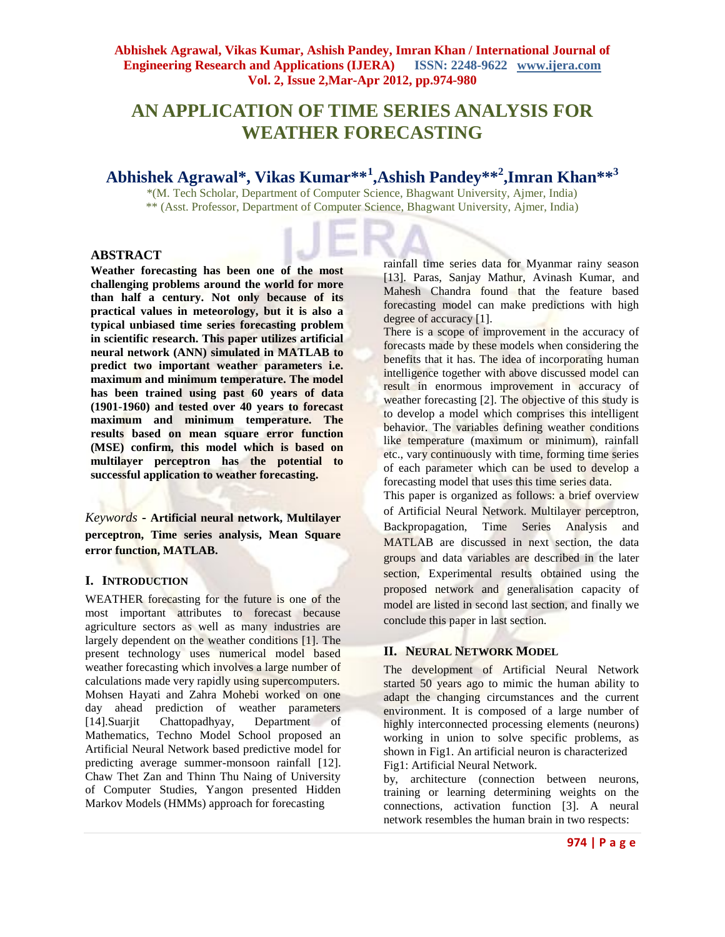# **AN APPLICATION OF TIME SERIES ANALYSIS FOR WEATHER FORECASTING**

## **Abhishek Agrawal\*, Vikas Kumar\*\*<sup>1</sup> ,Ashish Pandey\*\*<sup>2</sup> ,Imran Khan\*\*<sup>3</sup>**

\*(M. Tech Scholar, Department of Computer Science, Bhagwant University, Ajmer, India) \*\* (Asst. Professor, Department of Computer Science, Bhagwant University, Ajmer, India)

### **ABSTRACT**

**Weather forecasting has been one of the most challenging problems around the world for more than half a century. Not only because of its practical values in meteorology, but it is also a typical unbiased time series forecasting problem in scientific research. This paper utilizes artificial neural network (ANN) simulated in MATLAB to predict two important weather parameters i.e. maximum and minimum temperature. The model has been trained using past 60 years of data (1901-1960) and tested over 40 years to forecast maximum and minimum temperature. The results based on mean square error function (MSE) confirm, this model which is based on multilayer perceptron has the potential to successful application to weather forecasting.**

*Keywords* **- Artificial neural network, Multilayer perceptron, Time series analysis, Mean Square error function, MATLAB.**

#### **I. INTRODUCTION**

WEATHER forecasting for the future is one of the most important attributes to forecast because agriculture sectors as well as many industries are largely dependent on the weather conditions [1]. The present technology uses numerical model based weather forecasting which involves a large number of calculations made very rapidly using supercomputers. Mohsen Hayati and Zahra Mohebi worked on one day ahead prediction of weather parameters [14].Suarjit Chattopadhyay, Department of Mathematics, Techno Model School proposed an Artificial Neural Network based predictive model for predicting average summer-monsoon rainfall [12]. Chaw Thet Zan and Thinn Thu Naing of University of Computer Studies, Yangon presented Hidden Markov Models (HMMs) approach for forecasting

rainfall time series data for Myanmar rainy season [13]. Paras, Sanjay Mathur, Avinash Kumar, and Mahesh Chandra found that the feature based forecasting model can make predictions with high degree of accuracy [1].

There is a scope of improvement in the accuracy of forecasts made by these models when considering the benefits that it has. The idea of incorporating human intelligence together with above discussed model can result in enormous improvement in accuracy of weather forecasting [2]. The objective of this study is to develop a model which comprises this intelligent behavior. The variables defining weather conditions like temperature (maximum or minimum), rainfall etc., vary continuously with time, forming time series of each parameter which can be used to develop a forecasting model that uses this time series data.

This paper is organized as follows: a brief overview of Artificial Neural Network. Multilayer perceptron, Backpropagation, Time Series Analysis and MATLAB are discussed in next section, the data groups and data variables are described in the later section, Experimental results obtained using the proposed network and generalisation capacity of model are listed in second last section, and finally we conclude this paper in last section.

## **II. NEURAL NETWORK MODEL**

The development of Artificial Neural Network started 50 years ago to mimic the human ability to adapt the changing circumstances and the current environment. It is composed of a large number of highly interconnected processing elements (neurons) working in union to solve specific problems, as shown in Fig1. An artificial neuron is characterized Fig1: Artificial Neural Network.

by, architecture (connection between neurons, training or learning determining weights on the connections, activation function [3]. A neural network resembles the human brain in two respects: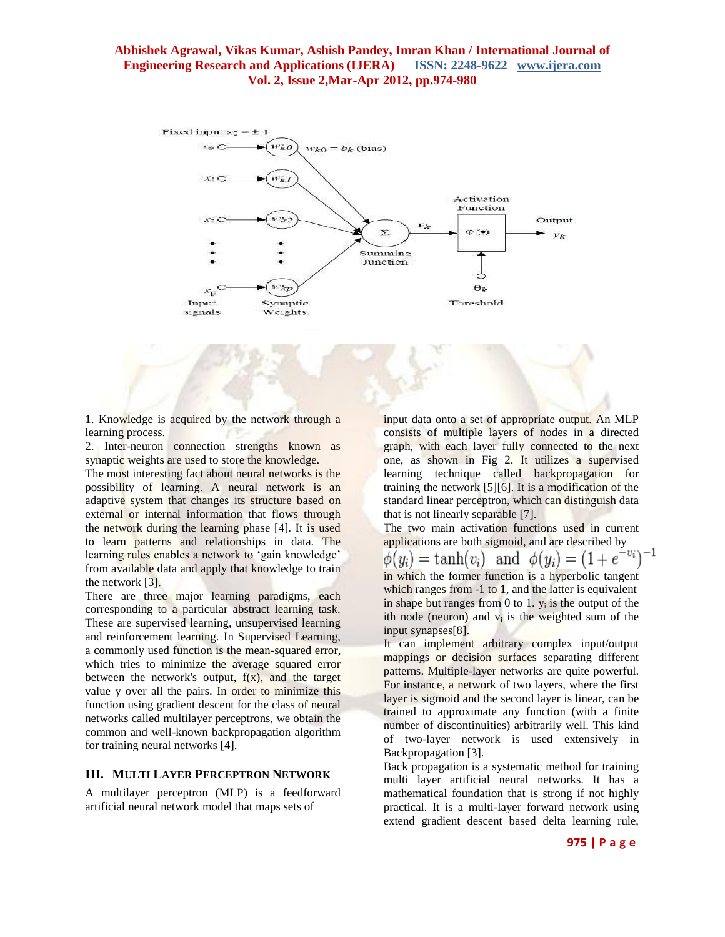

1. Knowledge is acquired by the network through a learning process.

2. Inter-neuron connection strengths known as synaptic weights are used to store the knowledge.

The most interesting fact about neural networks is the possibility of learning. A neural network is an adaptive system that changes its structure based on external or internal information that flows through the network during the learning phase [4]. It is used to learn patterns and relationships in data. The learning rules enables a network to 'gain knowledge' from available data and apply that knowledge to train the network [3].

There are three major learning paradigms, each corresponding to a particular abstract learning task. These are supervised learning, unsupervised learning and reinforcement learning. In Supervised Learning, a commonly used function is the mean-squared error, which tries to minimize the average squared error between the network's output,  $f(x)$ , and the target value y over all the pairs. In order to minimize this function using gradient descent for the class of neural networks called multilayer perceptrons, we obtain the common and well-known backpropagation algorithm for training neural networks [4].

## **III. MULTI LAYER PERCEPTRON NETWORK**

A multilayer perceptron (MLP) is a feedforward artificial neural network model that maps sets of

input data onto a set of appropriate output. An MLP consists of multiple layers of nodes in a directed graph, with each layer fully connected to the next one, as shown in Fig 2. It utilizes a supervised learning technique called backpropagation for training the network [5][6]. It is a modification of the standard linear perceptron, which can distinguish data that is not linearly separable [7].

The two main activation functions used in current applications are both sigmoid, and are described by  $\phi(y_i) = \tanh(v_i)$  and  $\phi(y_i) = (1 + e^i)$ in which the former function is a hyperbolic tangent which ranges from -1 to 1, and the latter is equivalent in shape but ranges from  $0$  to  $1$ .  $y_i$  is the output of the ith node (neuron) and  $v_i$  is the weighted sum of the input synapses[8].

It can implement arbitrary complex input/output mappings or decision surfaces separating different patterns. Multiple-layer networks are quite powerful. For instance, a network of two layers, where the first layer is sigmoid and the second layer is linear, can be trained to approximate any function (with a finite number of discontinuities) arbitrarily well. This kind of two-layer network is used extensively in Backpropagation [3].

Back propagation is a systematic method for training multi layer artificial neural networks. It has a mathematical foundation that is strong if not highly practical. It is a multi-layer forward network using extend gradient descent based delta learning rule,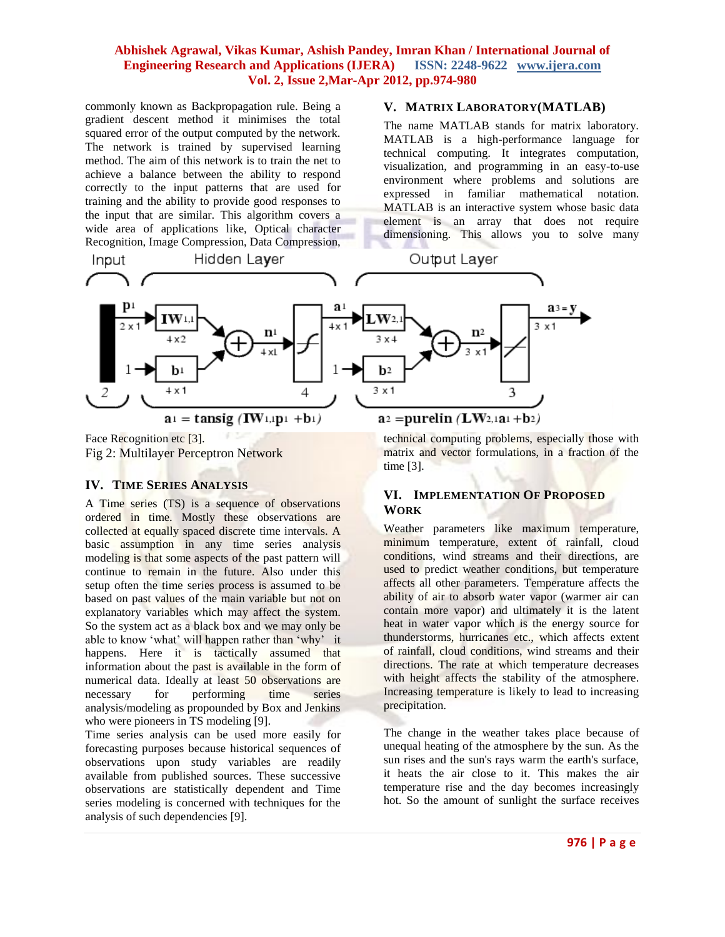commonly known as Backpropagation rule. Being a gradient descent method it minimises the total squared error of the output computed by the network. The network is trained by supervised learning method. The aim of this network is to train the net to achieve a balance between the ability to respond correctly to the input patterns that are used for training and the ability to provide good responses to the input that are similar. This algorithm covers a wide area of applications like, Optical character Recognition, Image Compression, Data Compression,

### **V. MATRIX LABORATORY(MATLAB)**

The name MATLAB stands for matrix laboratory. MATLAB is a high-performance language for technical computing. It integrates computation, visualization, and programming in an easy-to-use environment where problems and solutions are expressed in familiar mathematical notation. MATLAB is an interactive system whose basic data element is an array that does not require dimensioning. This allows you to solve many



Face Recognition etc [3]. Fig 2: Multilayer Perceptron Network

#### **IV. TIME SERIES ANALYSIS**

A Time series (TS) is a sequence of observations ordered in time. Mostly these observations are collected at equally spaced discrete time intervals. A basic assumption in any time series analysis modeling is that some aspects of the past pattern will continue to remain in the future. Also under this setup often the time series process is assumed to be based on past values of the main variable but not on explanatory variables which may affect the system. So the system act as a black box and we may only be able to know 'what' will happen rather than 'why' it happens. Here it is tactically assumed that information about the past is available in the form of numerical data. Ideally at least 50 observations are necessary for performing time series analysis/modeling as propounded by Box and Jenkins who were pioneers in TS modeling [9].

Time series analysis can be used more easily for forecasting purposes because historical sequences of observations upon study variables are readily available from published sources. These successive observations are statistically dependent and Time series modeling is concerned with techniques for the analysis of such dependencies [9].

technical computing problems, especially those with matrix and vector formulations, in a fraction of the time [3].

## **VI. IMPLEMENTATION OF PROPOSED WORK**

Weather parameters like maximum temperature, minimum temperature, extent of rainfall, cloud conditions, wind streams and their directions, are used to predict weather conditions, but temperature affects all other parameters. Temperature affects the ability of air to absorb water vapor (warmer air can contain more vapor) and ultimately it is the latent heat in water vapor which is the energy source for thunderstorms, hurricanes etc., which affects extent of rainfall, cloud conditions, wind streams and their directions. The rate at which temperature decreases with height affects the stability of the atmosphere. Increasing temperature is likely to lead to increasing precipitation.

The change in the weather takes place because of unequal heating of the atmosphere by the sun. As the sun rises and the sun's rays warm the earth's surface, it heats the air close to it. This makes the air temperature rise and the day becomes increasingly hot. So the amount of sunlight the surface receives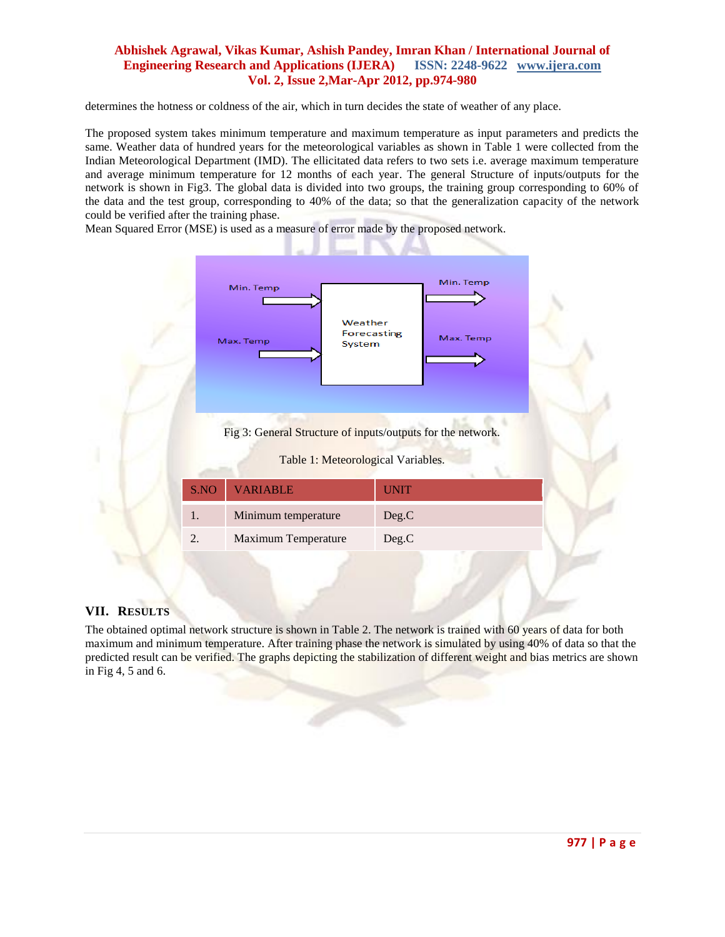determines the hotness or coldness of the air, which in turn decides the state of weather of any place.

The proposed system takes minimum temperature and maximum temperature as input parameters and predicts the same. Weather data of hundred years for the meteorological variables as shown in Table 1 were collected from the Indian Meteorological Department (IMD). The ellicitated data refers to two sets i.e. average maximum temperature and average minimum temperature for 12 months of each year. The general Structure of inputs/outputs for the network is shown in Fig3. The global data is divided into two groups, the training group corresponding to 60% of the data and the test group, corresponding to 40% of the data; so that the generalization capacity of the network could be verified after the training phase.

Mean Squared Error (MSE) is used as a measure of error made by the proposed network.



#### **VII. RESULTS**

The obtained optimal network structure is shown in Table 2. The network is trained with 60 years of data for both maximum and minimum temperature. After training phase the network is simulated by using 40% of data so that the predicted result can be verified. The graphs depicting the stabilization of different weight and bias metrics are shown in Fig 4, 5 and 6.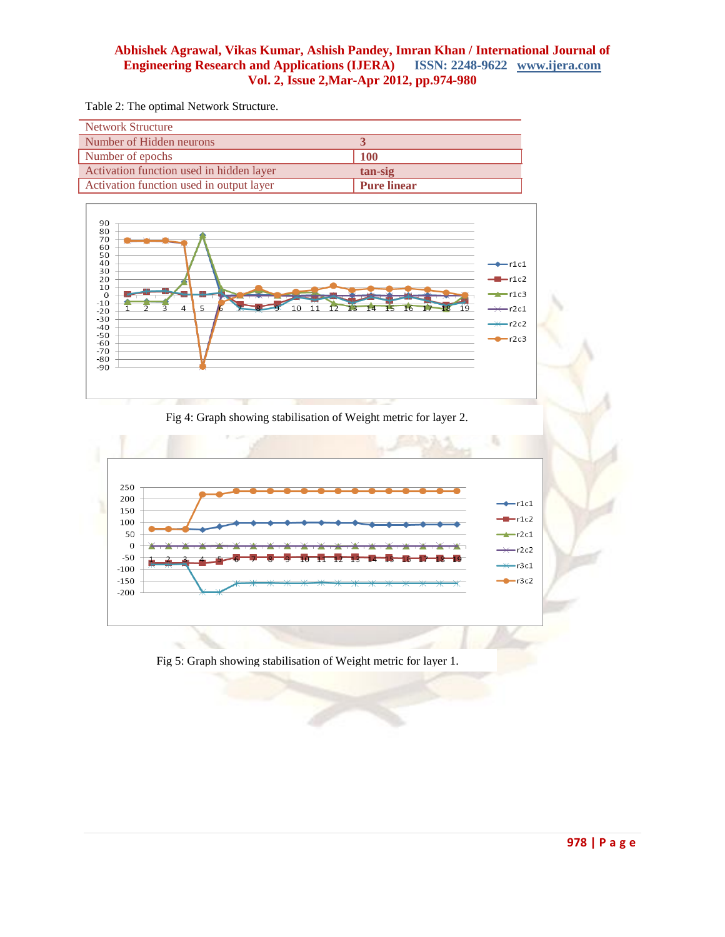Table 2: The optimal Network Structure.

| <b>Network Structure</b>                 |                    |
|------------------------------------------|--------------------|
| Number of Hidden neurons                 |                    |
| Number of epochs                         | <b>100</b>         |
| Activation function used in hidden layer | tan-sig            |
| Activation function used in output layer | <b>Pure linear</b> |



Fig 4: Graph showing stabilisation of Weight metric for layer 2.



Fig 5: Graph showing stabilisation of Weight metric for layer 1.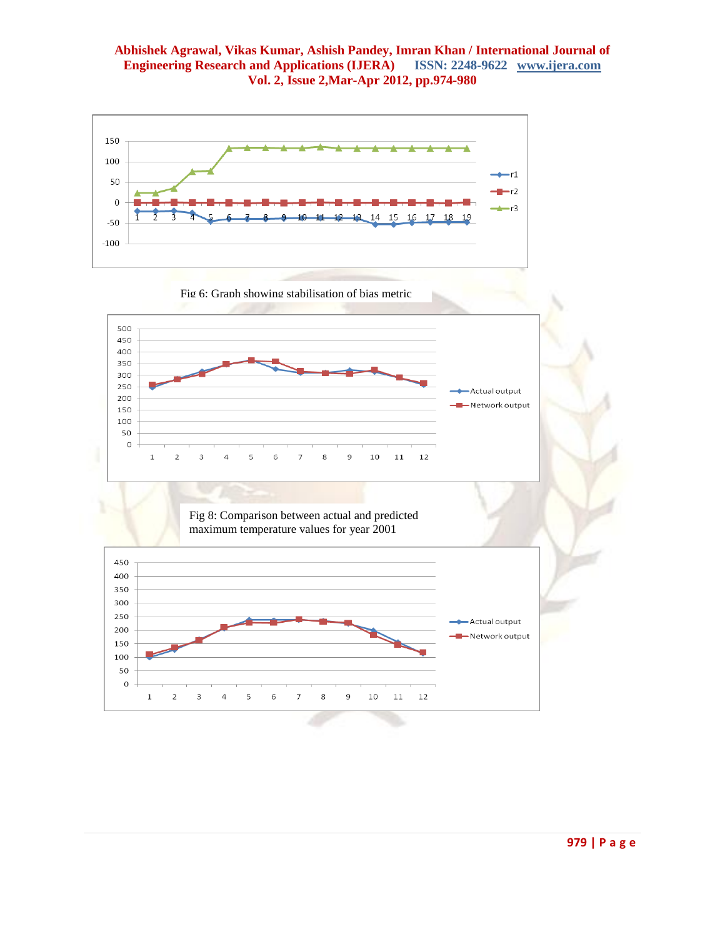